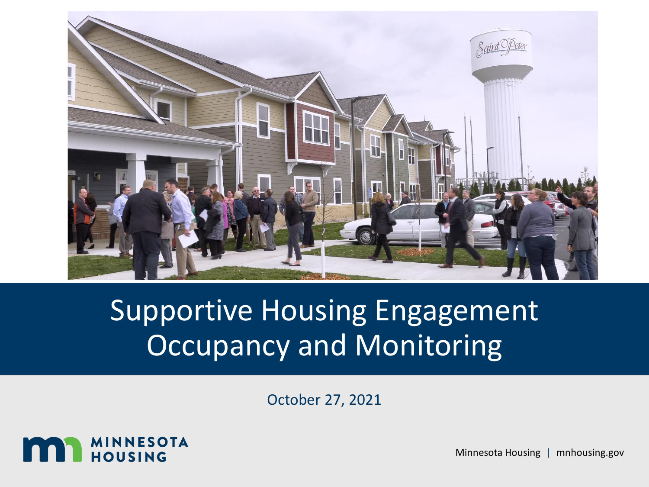

# Supportive Housing Engagement Occupancy and Monitoring

October 27, 2021



Minnesota Housing | mnhousing.gov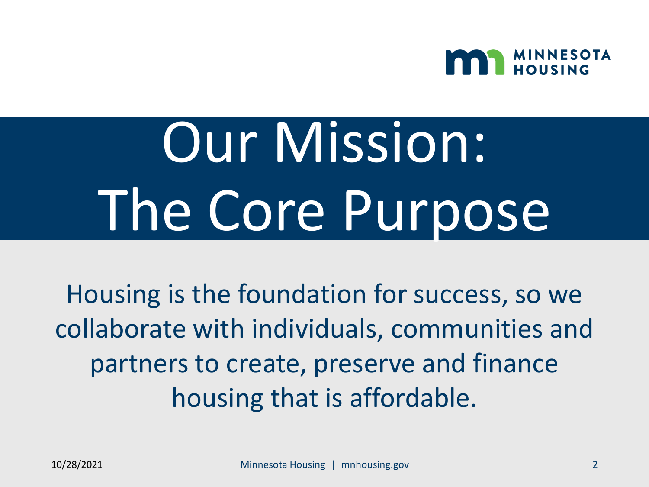

# Our Mission: The Core Purpose

Housing is the foundation for success, so we collaborate with individuals, communities and partners to create, preserve and finance housing that is affordable.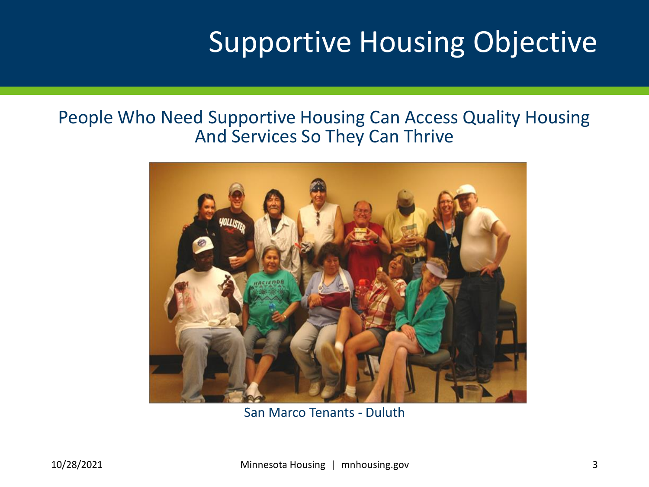# Supportive Housing Objective

#### People Who Need Supportive Housing Can Access Quality Housing And Services So They Can Thrive



San Marco Tenants - Duluth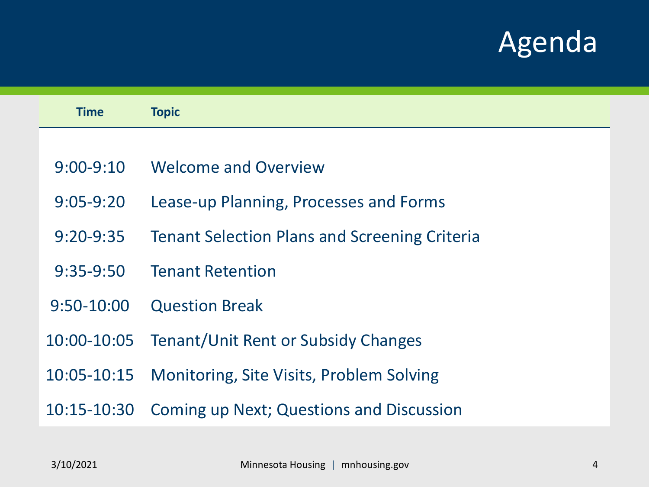# Agenda

| <b>Time</b>     | <b>Topic</b>                                         |  |
|-----------------|------------------------------------------------------|--|
|                 |                                                      |  |
| $9:00 - 9:10$   | <b>Welcome and Overview</b>                          |  |
| $9:05 - 9:20$   | Lease-up Planning, Processes and Forms               |  |
| $9:20 - 9:35$   | <b>Tenant Selection Plans and Screening Criteria</b> |  |
| $9:35-9:50$     | <b>Tenant Retention</b>                              |  |
| $9:50-10:00$    | <b>Question Break</b>                                |  |
| 10:00-10:05     | Tenant/Unit Rent or Subsidy Changes                  |  |
| $10:05 - 10:15$ | <b>Monitoring, Site Visits, Problem Solving</b>      |  |
| 10:15-10:30     | <b>Coming up Next; Questions and Discussion</b>      |  |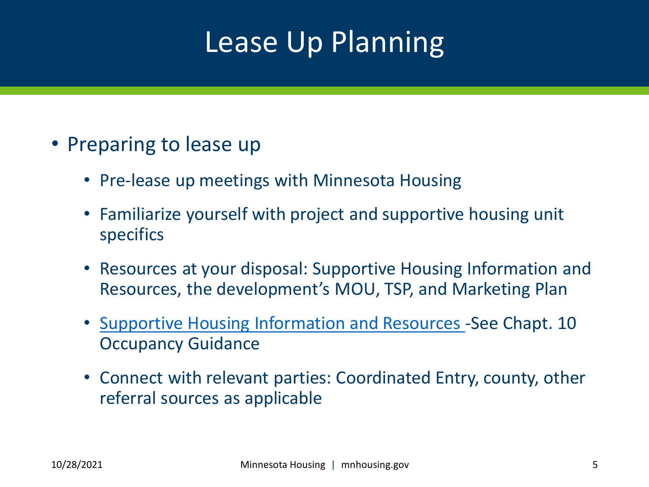# Lease Up Planning

- Preparing to lease up
	- Pre-lease up meetings with Minnesota Housing
	- Familiarize yourself with project and supportive housing unit specifics
	- Resources at your disposal: Supportive Housing Information and Resources, the development's MOU, TSP, and Marketing Plan
	- [Supportive Housing Information and Resources](https://www.mnhousing.gov/sites/multifamily/assetmanagement) -See Chapt. 10 Occupancy Guidance
	- Connect with relevant parties: Coordinated Entry, county, other referral sources as applicable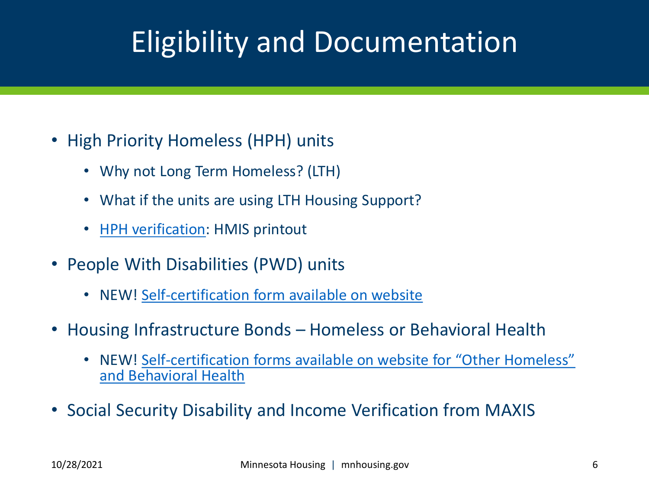# Eligibility and Documentation

- High Priority Homeless (HPH) units
	- Why not Long Term Homeless? (LTH)
	- What if the units are using LTH Housing Support?
	- [HPH verification](https://www.mnhousing.gov/sites/multifamily/postselection/supportivehousing): HMIS printout
- People With Disabilities (PWD) units
	- NEW! [Self-certification form available on website](https://www.mnhousing.gov/sites/multifamily/compliance)
- Housing Infrastructure Bonds Homeless or Behavioral Health
	- NEW! Self-[certification forms available on website for "Other Homeless"](https://www.mnhousing.gov/sites/multifamily/compliance)  and Behavioral Health
- Social Security Disability and Income Verification from MAXIS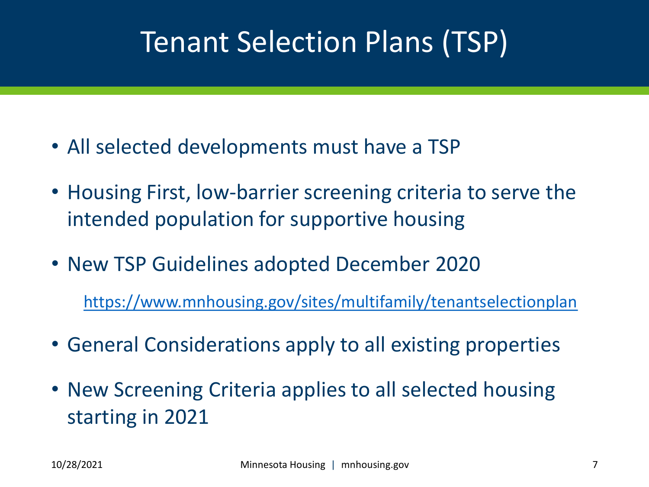# Tenant Selection Plans (TSP)

- All selected developments must have a TSP
- Housing First, low-barrier screening criteria to serve the intended population for supportive housing
- New TSP Guidelines adopted December 2020

<https://www.mnhousing.gov/sites/multifamily/tenantselectionplan>

- General Considerations apply to all existing properties
- New Screening Criteria applies to all selected housing starting in 2021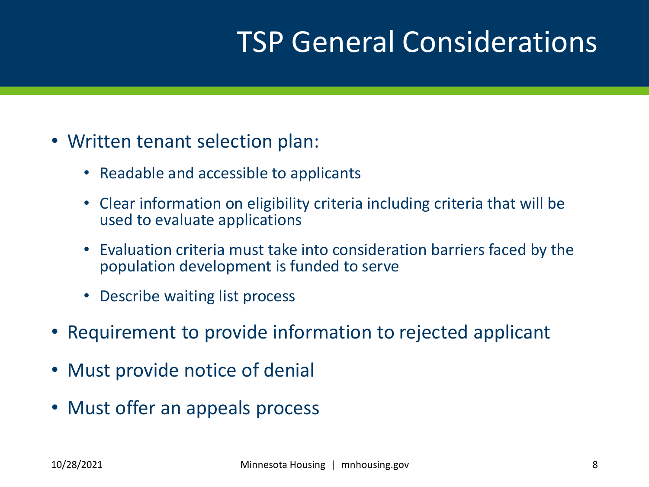# TSP General Considerations

- Written tenant selection plan:
	- Readable and accessible to applicants
	- Clear information on eligibility criteria including criteria that will be used to evaluate applications
	- Evaluation criteria must take into consideration barriers faced by the population development is funded to serve
	- Describe waiting list process
- Requirement to provide information to rejected applicant
- Must provide notice of denial
- Must offer an appeals process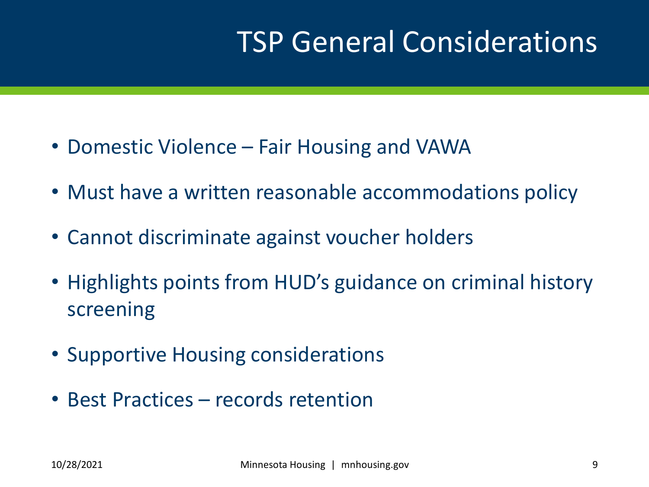# TSP General Considerations

- Domestic Violence Fair Housing and VAWA
- Must have a written reasonable accommodations policy
- Cannot discriminate against voucher holders
- Highlights points from HUD's guidance on criminal history screening
- Supportive Housing considerations
- Best Practices records retention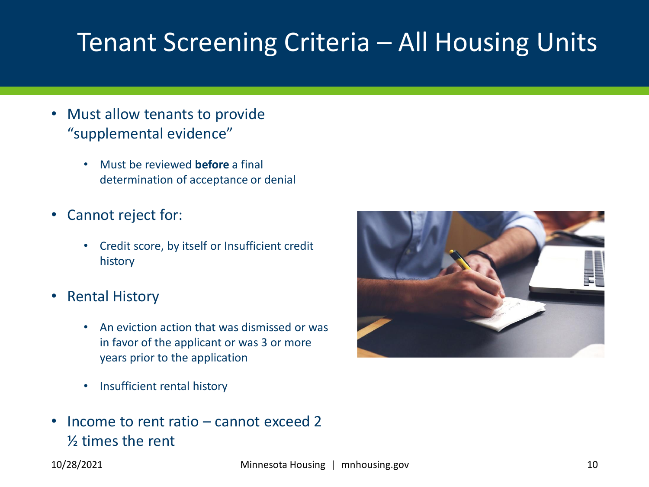#### Tenant Screening Criteria – All Housing Units

- Must allow tenants to provide "supplemental evidence"
	- Must be reviewed **before** a final determination of acceptance or denial
- Cannot reject for:
	- Credit score, by itself or Insufficient credit history
- Rental History
	- An eviction action that was dismissed or was in favor of the applicant or was 3 or more years prior to the application
	- Insufficient rental history
- Income to rent ratio cannot exceed 2 ½ times the rent

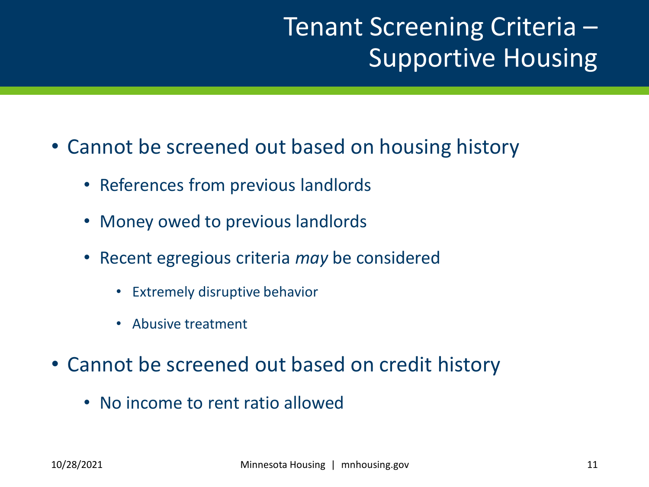#### Tenant Screening Criteria – Supportive Housing

- Cannot be screened out based on housing history
	- References from previous landlords
	- Money owed to previous landlords
	- Recent egregious criteria *may* be considered
		- Extremely disruptive behavior
		- Abusive treatment
- Cannot be screened out based on credit history
	- No income to rent ratio allowed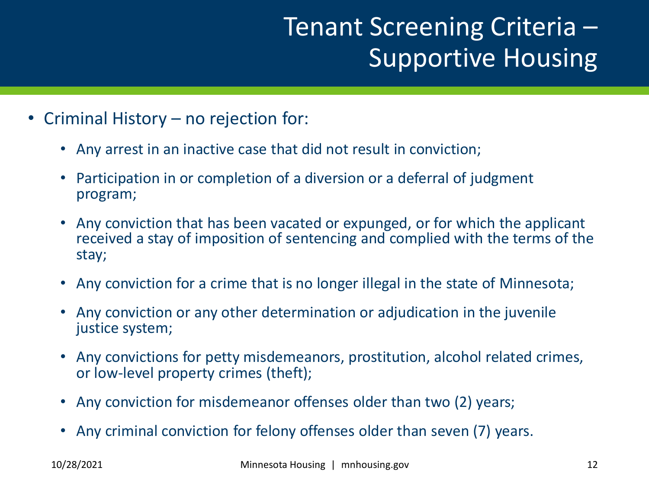#### Tenant Screening Criteria – Supportive Housing

- Criminal History no rejection for:
	- Any arrest in an inactive case that did not result in conviction;
	- Participation in or completion of a diversion or a deferral of judgment program;
	- Any conviction that has been vacated or expunged, or for which the applicant received a stay of imposition of sentencing and complied with the terms of the stay;
	- Any conviction for a crime that is no longer illegal in the state of Minnesota;
	- Any conviction or any other determination or adjudication in the juvenile justice system;
	- Any convictions for petty misdemeanors, prostitution, alcohol related crimes, or low-level property crimes (theft);
	- Any conviction for misdemeanor offenses older than two (2) years;
	- Any criminal conviction for felony offenses older than seven (7) years.

10/28/2021 Minnesota Housing | mnhousing.gov 12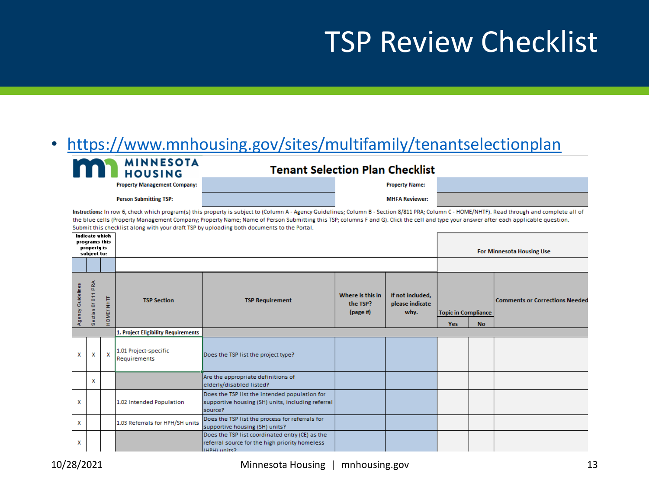# TSP Review Checklist

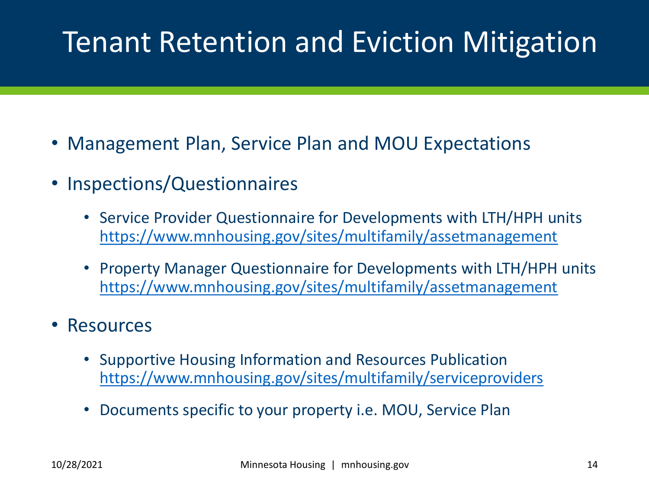# Tenant Retention and Eviction Mitigation

- Management Plan, Service Plan and MOU Expectations
- Inspections/Questionnaires
	- Service Provider Questionnaire for Developments with LTH/HPH units <https://www.mnhousing.gov/sites/multifamily/assetmanagement>
	- Property Manager Questionnaire for Developments with LTH/HPH units <https://www.mnhousing.gov/sites/multifamily/assetmanagement>
- **Resources** 
	- Supportive Housing Information and Resources Publication <https://www.mnhousing.gov/sites/multifamily/serviceproviders>
	- Documents specific to your property i.e. MOU, Service Plan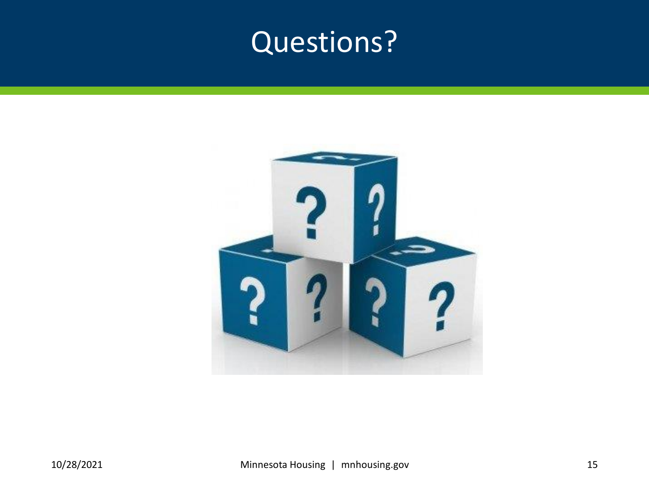# Questions?

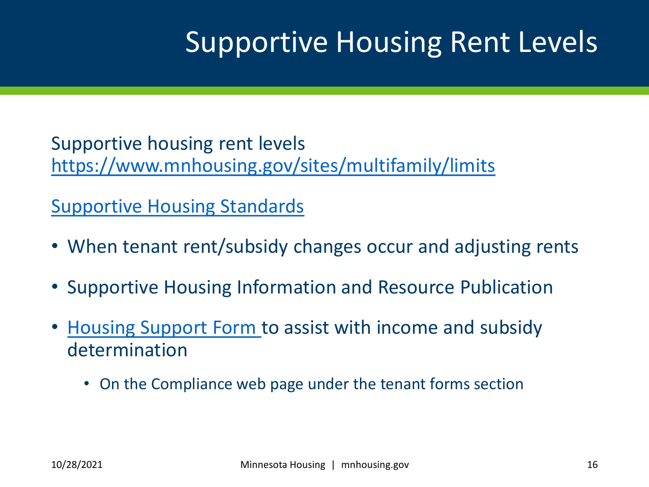# Supportive Housing Rent Levels

Supportive housing rent levels <https://www.mnhousing.gov/sites/multifamily/limits>

[Supportive Housing Standards](https://www.mnhousing.gov/sites/Satellite?blobcol=urldata&blobheadername1=Content-Type&blobheadername2=Content-Disposition&blobheadername3=MDT-Type&blobheadervalue1=application%2Fpdf&blobheadervalue2=attachment%3B+filename%3DMHFA_255175.pdf&blobheadervalue3=abinary%3B+charset%3DUTF-8&blobkey=id&blobtable=MungoBlobs&blobwhere=1533152668821&ssbinary=true)

- When tenant rent/subsidy changes occur and adjusting rents
- Supportive Housing Information and Resource Publication
- [Housing Support Form](https://www.mnhousing.gov/sites/Satellite?blobcol=urldata&blobheadername1=Content-Type&blobheadername2=Content-Disposition&blobheadername3=MDT-Type&blobheadervalue1=application%2Frtf&blobheadervalue2=attachment%3B+filename%3DMHFA_260556.rtf&blobheadervalue3=abinary%3B+charset%3DUTF-8&blobkey=id&blobtable=MungoBlobs&blobwhere=1533153099330&ssbinary=true) to assist with income and subsidy determination
	- On the Compliance web page under the tenant forms section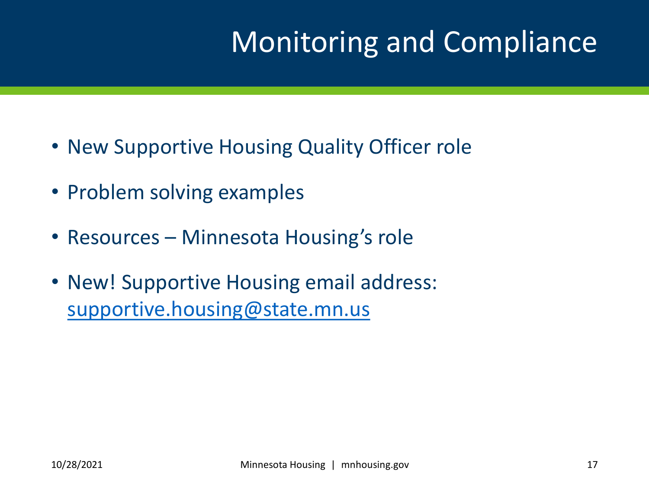# Monitoring and Compliance

- New Supportive Housing Quality Officer role
- Problem solving examples
- Resources Minnesota Housing's role
- New! Supportive Housing email address: [supportive.housing@state.mn.us](mailto:supportive.housing@state.mn.us)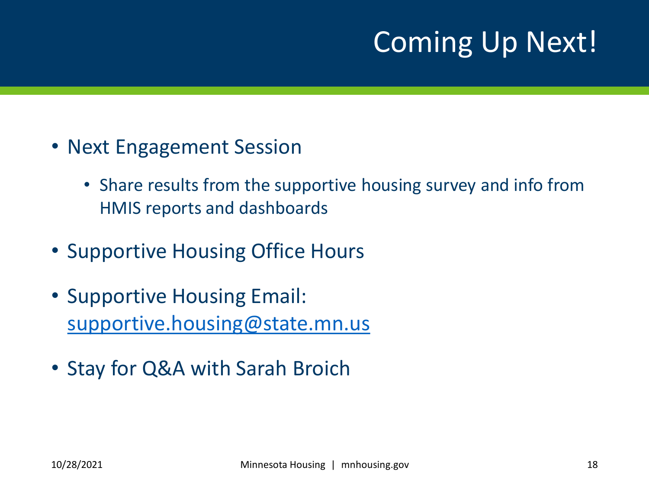# Coming Up Next!

- Next Engagement Session
	- Share results from the supportive housing survey and info from HMIS reports and dashboards
- Supportive Housing Office Hours
- Supportive Housing Email: [supportive.housing@state.mn.us](mailto:supportive.housing@state.mn.us)
- Stay for Q&A with Sarah Broich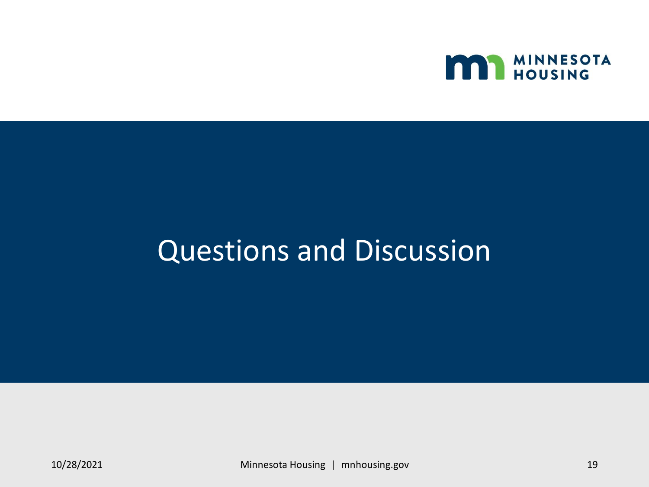

### Questions and Discussion